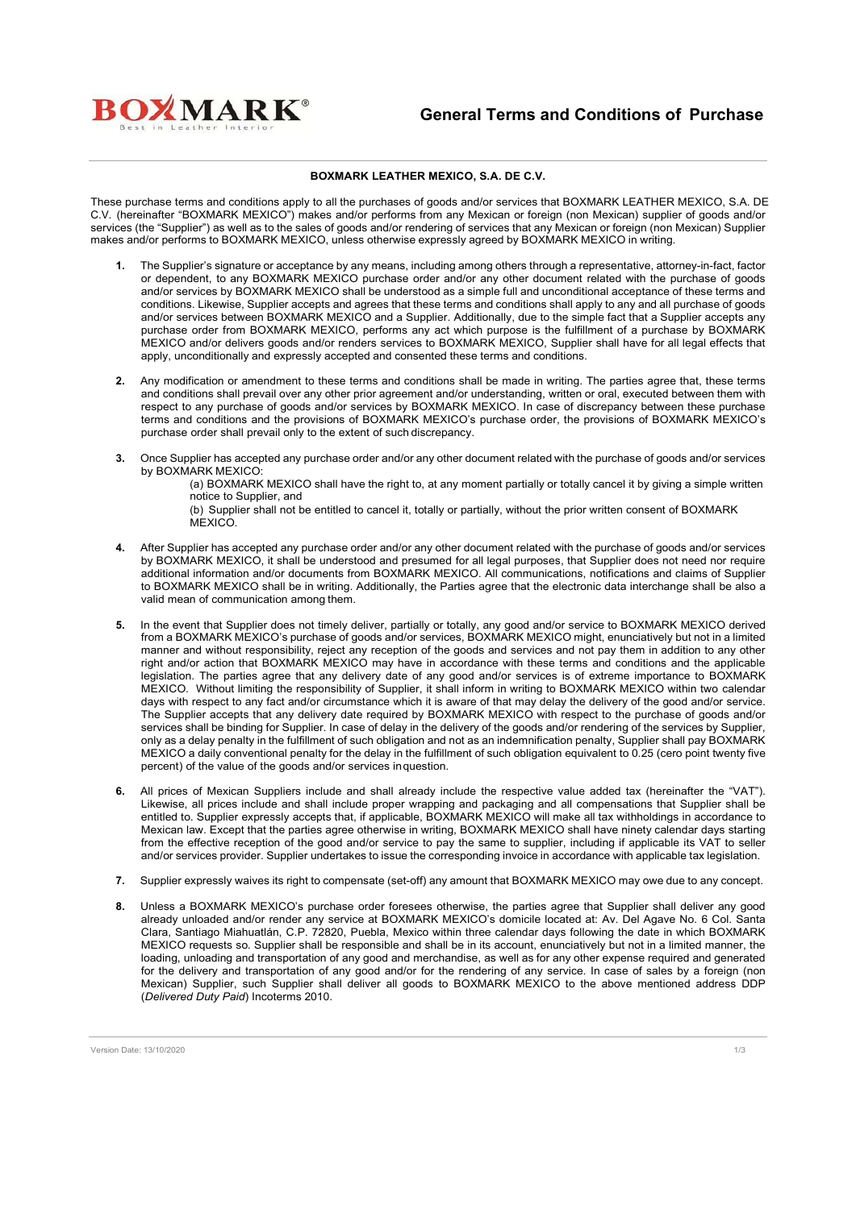

## **BOXMARK LEATHER MEXICO, S.A. DE C.V.**

These purchase terms and conditions apply to all the purchases of goods and/or services that BOXMARK LEATHER MEXICO, S.A. DE C.V. (hereinafter "BOXMARK MEXICO") makes and/or performs from any Mexican or foreign (non Mexican) supplier of goods and/or services (the "Supplier") as well as to the sales of goods and/or rendering of services that any Mexican or foreign (non Mexican) Supplier makes and/or performs to BOXMARK MEXICO, unless otherwise expressly agreed by BOXMARK MEXICO in writing.

- **1.** The Supplier's signature or acceptance by any means, including among others through a representative, attorney-in-fact, factor or dependent, to any BOXMARK MEXICO purchase order and/or any other document related with the purchase of goods and/or services by BOXMARK MEXICO shall be understood as a simple full and unconditional acceptance of these terms and conditions. Likewise, Supplier accepts and agrees that these terms and conditions shall apply to any and all purchase of goods and/or services between BOXMARK MEXICO and a Supplier. Additionally, due to the simple fact that a Supplier accepts any purchase order from BOXMARK MEXICO, performs any act which purpose is the fulfillment of a purchase by BOXMARK MEXICO and/or delivers goods and/or renders services to BOXMARK MEXICO, Supplier shall have for all legal effects that apply, unconditionally and expressly accepted and consented these terms and conditions.
- **2.** Any modification or amendment to these terms and conditions shall be made in writing. The parties agree that, these terms and conditions shall prevail over any other prior agreement and/or understanding, written or oral, executed between them with respect to any purchase of goods and/or services by BOXMARK MEXICO. In case of discrepancy between these purchase terms and conditions and the provisions of BOXMARK MEXICO's purchase order, the provisions of BOXMARK MEXICO's purchase order shall prevail only to the extent of such discrepancy.
- **3.** Once Supplier has accepted any purchase order and/or any other document related with the purchase of goods and/or services by BOXMARK MEXICO:

(a) BOXMARK MEXICO shall have the right to, at any moment partially or totally cancel it by giving a simple written notice to Supplier, and

(b) Supplier shall not be entitled to cancel it, totally or partially, without the prior written consent of BOXMARK **MEXICO** 

- **4.** After Supplier has accepted any purchase order and/or any other document related with the purchase of goods and/or services by BOXMARK MEXICO, it shall be understood and presumed for all legal purposes, that Supplier does not need nor require additional information and/or documents from BOXMARK MEXICO. All communications, notifications and claims of Supplier to BOXMARK MEXICO shall be in writing. Additionally, the Parties agree that the electronic data interchange shall be also a valid mean of communication among them.
- **5.** In the event that Supplier does not timely deliver, partially or totally, any good and/or service to BOXMARK MEXICO derived from a BOXMARK MEXICO's purchase of goods and/or services, BOXMARK MEXICO might, enunciatively but not in a limited manner and without responsibility, reject any reception of the goods and services and not pay them in addition to any other right and/or action that BOXMARK MEXICO may have in accordance with these terms and conditions and the applicable legislation. The parties agree that any delivery date of any good and/or services is of extreme importance to BOXMARK MEXICO. Without limiting the responsibility of Supplier, it shall inform in writing to BOXMARK MEXICO within two calendar days with respect to any fact and/or circumstance which it is aware of that may delay the delivery of the good and/or service. The Supplier accepts that any delivery date required by BOXMARK MEXICO with respect to the purchase of goods and/or services shall be binding for Supplier. In case of delay in the delivery of the goods and/or rendering of the services by Supplier, only as a delay penalty in the fulfillment of such obligation and not as an indemnification penalty, Supplier shall pay BOXMARK MEXICO a daily conventional penalty for the delay in the fulfillment of such obligation equivalent to 0.25 (cero point twenty five percent) of the value of the goods and/or services inquestion.
- **6.** All prices of Mexican Suppliers include and shall already include the respective value added tax (hereinafter the "VAT"). Likewise, all prices include and shall include proper wrapping and packaging and all compensations that Supplier shall be entitled to. Supplier expressly accepts that, if applicable, BOXMARK MEXICO will make all tax withholdings in accordance to Mexican law. Except that the parties agree otherwise in writing, BOXMARK MEXICO shall have ninety calendar days starting from the effective reception of the good and/or service to pay the same to supplier, including if applicable its VAT to seller and/or services provider. Supplier undertakes to issue the corresponding invoice in accordance with applicable tax legislation.
- **7.** Supplier expressly waives its right to compensate (set-off) any amount that BOXMARK MEXICO may owe due to any concept.
- **8.** Unless a BOXMARK MEXICO's purchase order foresees otherwise, the parties agree that Supplier shall deliver any good already unloaded and/or render any service at BOXMARK MEXICO's domicile located at: Av. Del Agave No. 6 Col. Santa Clara, Santiago Miahuatlán, C.P. 72820, Puebla, Mexico within three calendar days following the date in which BOXMARK MEXICO requests so. Supplier shall be responsible and shall be in its account, enunciatively but not in a limited manner, the loading, unloading and transportation of any good and merchandise, as well as for any other expense required and generated for the delivery and transportation of any good and/or for the rendering of any service. In case of sales by a foreign (non Mexican) Supplier, such Supplier shall deliver all goods to BOXMARK MEXICO to the above mentioned address DDP (*Delivered Duty Paid*) Incoterms 2010.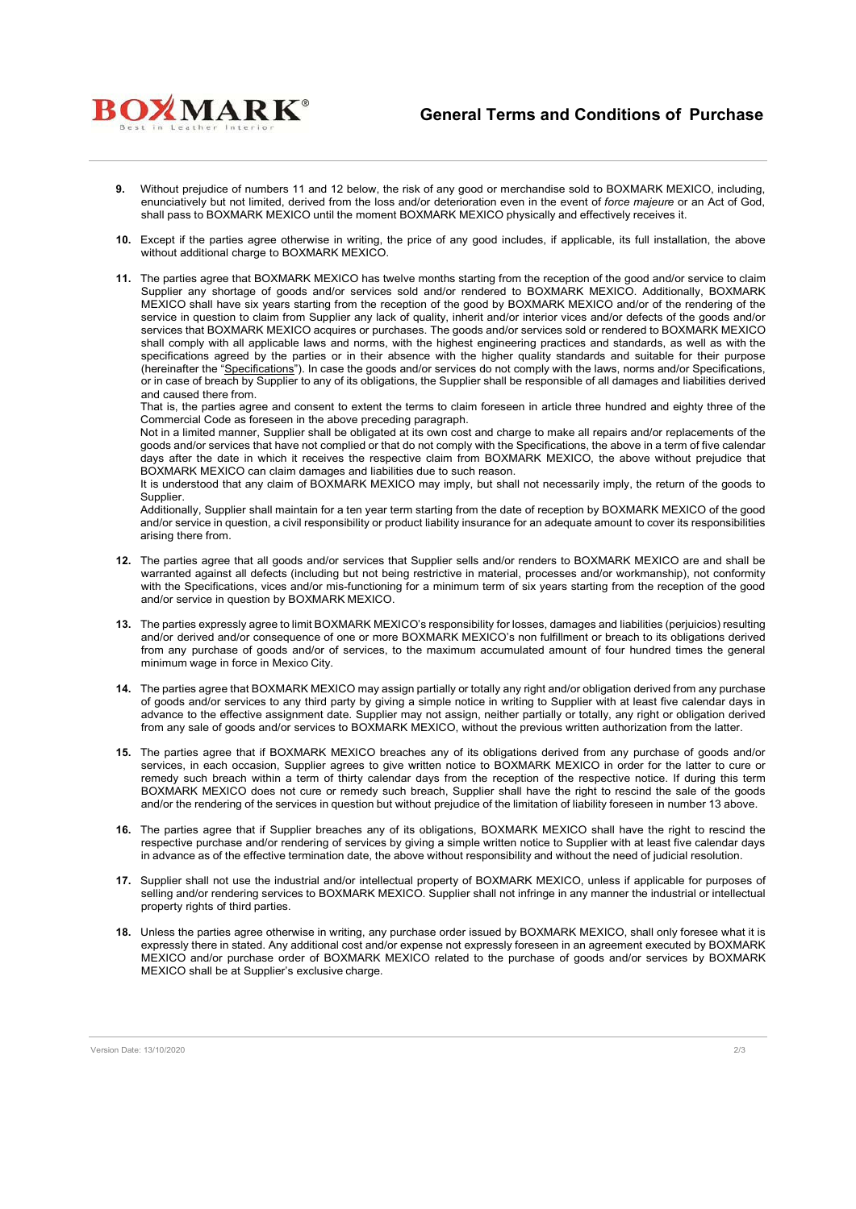

- **9.** Without prejudice of numbers 11 and 12 below, the risk of any good or merchandise sold to BOXMARK MEXICO, including, enunciatively but not limited, derived from the loss and/or deterioration even in the event of *force majeure* or an Act of God, shall pass to BOXMARK MEXICO until the moment BOXMARK MEXICO physically and effectively receives it.
- **10.** Except if the parties agree otherwise in writing, the price of any good includes, if applicable, its full installation, the above without additional charge to BOXMARK MEXICO.
- **11.** The parties agree that BOXMARK MEXICO has twelve months starting from the reception of the good and/or service to claim Supplier any shortage of goods and/or services sold and/or rendered to BOXMARK MEXICO. Additionally, BOXMARK MEXICO shall have six years starting from the reception of the good by BOXMARK MEXICO and/or of the rendering of the service in question to claim from Supplier any lack of quality, inherit and/or interior vices and/or defects of the goods and/or services that BOXMARK MEXICO acquires or purchases. The goods and/or services sold or rendered to BOXMARK MEXICO shall comply with all applicable laws and norms, with the highest engineering practices and standards, as well as with the specifications agreed by the parties or in their absence with the higher quality standards and suitable for their purpose (hereinafter the "Specifications"). In case the goods and/or services do not comply with the laws, norms and/or Specifications, or in case of breach by Supplier to any of its obligations, the Supplier shall be responsible of all damages and liabilities derived and caused there from.

That is, the parties agree and consent to extent the terms to claim foreseen in article three hundred and eighty three of the Commercial Code as foreseen in the above preceding paragraph.

Not in a limited manner, Supplier shall be obligated at its own cost and charge to make all repairs and/or replacements of the goods and/or services that have not complied or that do not comply with the Specifications, the above in a term of five calendar days after the date in which it receives the respective claim from BOXMARK MEXICO, the above without prejudice that BOXMARK MEXICO can claim damages and liabilities due to such reason.

It is understood that any claim of BOXMARK MEXICO may imply, but shall not necessarily imply, the return of the goods to Supplier.

Additionally, Supplier shall maintain for a ten year term starting from the date of reception by BOXMARK MEXICO of the good and/or service in question, a civil responsibility or product liability insurance for an adequate amount to cover its responsibilities arising there from.

- **12.** The parties agree that all goods and/or services that Supplier sells and/or renders to BOXMARK MEXICO are and shall be warranted against all defects (including but not being restrictive in material, processes and/or workmanship), not conformity with the Specifications, vices and/or mis-functioning for a minimum term of six years starting from the reception of the good and/or service in question by BOXMARK MEXICO.
- **13.** The parties expressly agree to limit BOXMARK MEXICO's responsibility for losses, damages and liabilities (perjuicios) resulting and/or derived and/or consequence of one or more BOXMARK MEXICO's non fulfillment or breach to its obligations derived from any purchase of goods and/or of services, to the maximum accumulated amount of four hundred times the general minimum wage in force in Mexico City.
- **14.** The parties agree that BOXMARK MEXICO may assign partially or totally any right and/or obligation derived from any purchase of goods and/or services to any third party by giving a simple notice in writing to Supplier with at least five calendar days in advance to the effective assignment date. Supplier may not assign, neither partially or totally, any right or obligation derived from any sale of goods and/or services to BOXMARK MEXICO, without the previous written authorization from the latter.
- **15.** The parties agree that if BOXMARK MEXICO breaches any of its obligations derived from any purchase of goods and/or services, in each occasion, Supplier agrees to give written notice to BOXMARK MEXICO in order for the latter to cure or remedy such breach within a term of thirty calendar days from the reception of the respective notice. If during this term BOXMARK MEXICO does not cure or remedy such breach, Supplier shall have the right to rescind the sale of the goods and/or the rendering of the services in question but without prejudice of the limitation of liability foreseen in number 13 above.
- **16.** The parties agree that if Supplier breaches any of its obligations, BOXMARK MEXICO shall have the right to rescind the respective purchase and/or rendering of services by giving a simple written notice to Supplier with at least five calendar days in advance as of the effective termination date, the above without responsibility and without the need of judicial resolution.
- **17.** Supplier shall not use the industrial and/or intellectual property of BOXMARK MEXICO, unless if applicable for purposes of selling and/or rendering services to BOXMARK MEXICO. Supplier shall not infringe in any manner the industrial or intellectual property rights of third parties.
- **18.** Unless the parties agree otherwise in writing, any purchase order issued by BOXMARK MEXICO, shall only foresee what it is expressly there in stated. Any additional cost and/or expense not expressly foreseen in an agreement executed by BOXMARK MEXICO and/or purchase order of BOXMARK MEXICO related to the purchase of goods and/or services by BOXMARK MEXICO shall be at Supplier's exclusive charge.

**BOXMARK**<sup>®</sup>